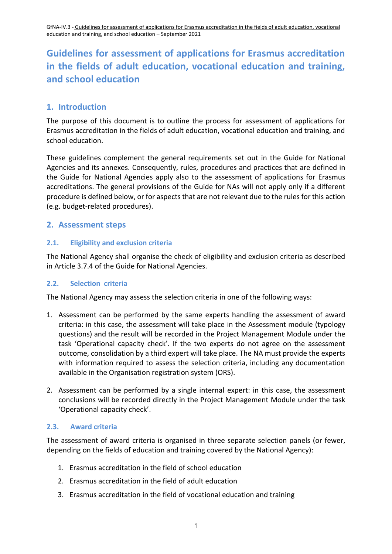# **1. Introduction**

The purpose of this document is to outline the process for assessment of applications for Erasmus accreditation in the fields of adult education, vocational education and training, and school education.

These guidelines complement the general requirements set out in the Guide for National Agencies and its annexes. Consequently, rules, procedures and practices that are defined in the Guide for National Agencies apply also to the assessment of applications for Erasmus accreditations. The general provisions of the Guide for NAs will not apply only if a different procedure is defined below, or for aspects that are not relevant due to the rules for this action (e.g. budget-related procedures).

## **2. Assessment steps**

## **2.1. Eligibility and exclusion criteria**

The National Agency shall organise the check of eligibility and exclusion criteria as described in Article 3.7.4 of the Guide for National Agencies.

## **2.2. Selection criteria**

The National Agency may assess the selection criteria in one of the following ways:

- 1. Assessment can be performed by the same experts handling the assessment of award criteria: in this case, the assessment will take place in the Assessment module (typology questions) and the result will be recorded in the Project Management Module under the task 'Operational capacity check'. If the two experts do not agree on the assessment outcome, consolidation by a third expert will take place. The NA must provide the experts with information required to assess the selection criteria, including any documentation available in the Organisation registration system (ORS).
- 2. Assessment can be performed by a single internal expert: in this case, the assessment conclusions will be recorded directly in the Project Management Module under the task 'Operational capacity check'.

## **2.3. Award criteria**

The assessment of award criteria is organised in three separate selection panels (or fewer, depending on the fields of education and training covered by the National Agency):

- 1. Erasmus accreditation in the field of school education
- 2. Erasmus accreditation in the field of adult education
- 3. Erasmus accreditation in the field of vocational education and training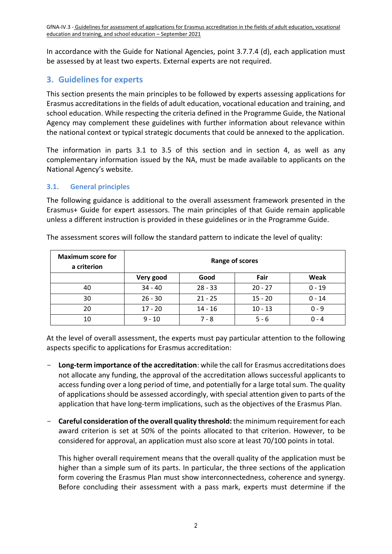In accordance with the Guide for National Agencies, point 3.7.7.4 (d), each application must be assessed by at least two experts. External experts are not required.

# **3. Guidelines for experts**

This section presents the main principles to be followed by experts assessing applications for Erasmus accreditations in the fields of adult education, vocational education and training, and school education. While respecting the criteria defined in the Programme Guide, the National Agency may complement these guidelines with further information about relevance within the national context or typical strategic documents that could be annexed to the application.

The information in parts 3.1 to 3.5 of this section and in section 4, as well as any complementary information issued by the NA, must be made available to applicants on the National Agency's website.

#### **3.1. General principles**

The following guidance is additional to the overall assessment framework presented in the Erasmus+ Guide for expert assessors. The main principles of that Guide remain applicable unless a different instruction is provided in these guidelines or in the Programme Guide.

| <b>Maximum score for</b><br>a criterion | Range of scores |           |           |          |
|-----------------------------------------|-----------------|-----------|-----------|----------|
|                                         | Very good       | Good      | Fair      | Weak     |
| 40                                      | $34 - 40$       | $28 - 33$ | $20 - 27$ | $0 - 19$ |
| 30                                      | $26 - 30$       | $21 - 25$ | $15 - 20$ | $0 - 14$ |
| 20                                      | $17 - 20$       | $14 - 16$ | $10 - 13$ | $0 - 9$  |
| 10                                      | $9 - 10$        | 7 - 8     | $5 - 6$   | $0 - 4$  |

The assessment scores will follow the standard pattern to indicate the level of quality:

At the level of overall assessment, the experts must pay particular attention to the following aspects specific to applications for Erasmus accreditation:

- **Long-term importance of the accreditation**: while the call for Erasmus accreditations does not allocate any funding, the approval of the accreditation allows successful applicants to access funding over a long period of time, and potentially for a large total sum. The quality of applications should be assessed accordingly, with special attention given to parts of the application that have long-term implications, such as the objectives of the Erasmus Plan.
- **Careful consideration of the overall quality threshold:** the minimum requirement for each award criterion is set at 50% of the points allocated to that criterion. However, to be considered for approval, an application must also score at least 70/100 points in total.

This higher overall requirement means that the overall quality of the application must be higher than a simple sum of its parts. In particular, the three sections of the application form covering the Erasmus Plan must show interconnectedness, coherence and synergy. Before concluding their assessment with a pass mark, experts must determine if the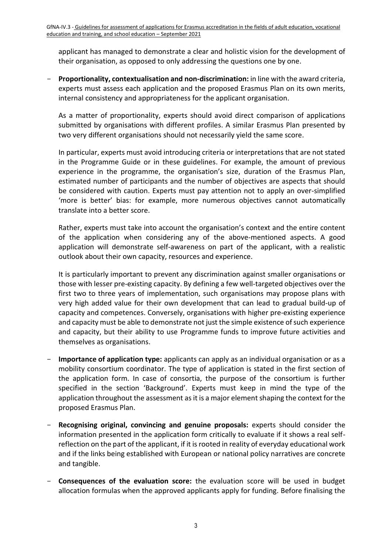applicant has managed to demonstrate a clear and holistic vision for the development of their organisation, as opposed to only addressing the questions one by one.

- **Proportionality, contextualisation and non-discrimination:** in line with the award criteria, experts must assess each application and the proposed Erasmus Plan on its own merits, internal consistency and appropriateness for the applicant organisation.

As a matter of proportionality, experts should avoid direct comparison of applications submitted by organisations with different profiles. A similar Erasmus Plan presented by two very different organisations should not necessarily yield the same score.

In particular, experts must avoid introducing criteria or interpretations that are not stated in the Programme Guide or in these guidelines. For example, the amount of previous experience in the programme, the organisation's size, duration of the Erasmus Plan, estimated number of participants and the number of objectives are aspects that should be considered with caution. Experts must pay attention not to apply an over-simplified 'more is better' bias: for example, more numerous objectives cannot automatically translate into a better score.

Rather, experts must take into account the organisation's context and the entire content of the application when considering any of the above-mentioned aspects. A good application will demonstrate self-awareness on part of the applicant, with a realistic outlook about their own capacity, resources and experience.

It is particularly important to prevent any discrimination against smaller organisations or those with lesser pre-existing capacity. By defining a few well-targeted objectives over the first two to three years of implementation, such organisations may propose plans with very high added value for their own development that can lead to gradual build-up of capacity and competences. Conversely, organisations with higher pre-existing experience and capacity must be able to demonstrate not just the simple existence of such experience and capacity, but their ability to use Programme funds to improve future activities and themselves as organisations.

- **Importance of application type:** applicants can apply as an individual organisation or as a mobility consortium coordinator. The type of application is stated in the first section of the application form. In case of consortia, the purpose of the consortium is further specified in the section 'Background'. Experts must keep in mind the type of the application throughout the assessment as it is a major element shaping the context for the proposed Erasmus Plan.
- Recognising original, convincing and genuine proposals: experts should consider the information presented in the application form critically to evaluate if it shows a real selfreflection on the part of the applicant, if it is rooted in reality of everyday educational work and if the links being established with European or national policy narratives are concrete and tangible.
- **Consequences of the evaluation score:** the evaluation score will be used in budget allocation formulas when the approved applicants apply for funding. Before finalising the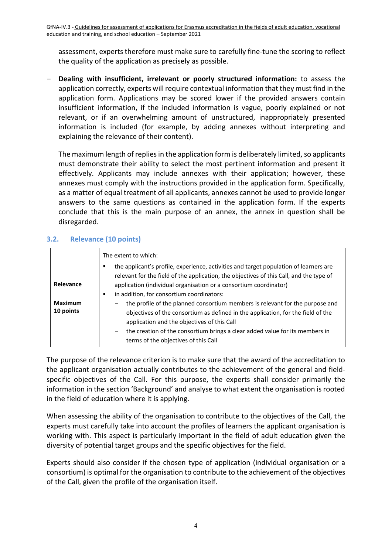assessment, experts therefore must make sure to carefully fine-tune the scoring to reflect the quality of the application as precisely as possible.

- **Dealing with insufficient, irrelevant or poorly structured information:** to assess the application correctly, experts will require contextual information that they must find in the application form. Applications may be scored lower if the provided answers contain insufficient information, if the included information is vague, poorly explained or not relevant, or if an overwhelming amount of unstructured, inappropriately presented information is included (for example, by adding annexes without interpreting and explaining the relevance of their content).

The maximum length of replies in the application form is deliberately limited, so applicants must demonstrate their ability to select the most pertinent information and present it effectively. Applicants may include annexes with their application; however, these annexes must comply with the instructions provided in the application form. Specifically, as a matter of equal treatment of all applicants, annexes cannot be used to provide longer answers to the same questions as contained in the application form. If the experts conclude that this is the main purpose of an annex, the annex in question shall be disregarded.

## **3.2. Relevance (10 points)**

|                             | The extent to which:                                                                                                                                                                                             |  |
|-----------------------------|------------------------------------------------------------------------------------------------------------------------------------------------------------------------------------------------------------------|--|
|                             | the applicant's profile, experience, activities and target population of learners are<br>relevant for the field of the application, the objectives of this Call, and the type of                                 |  |
| Relevance                   | application (individual organisation or a consortium coordinator)                                                                                                                                                |  |
|                             | in addition, for consortium coordinators:<br>٠                                                                                                                                                                   |  |
| <b>Maximum</b><br>10 points | the profile of the planned consortium members is relevant for the purpose and<br>objectives of the consortium as defined in the application, for the field of the<br>application and the objectives of this Call |  |
|                             | the creation of the consortium brings a clear added value for its members in<br>$-$<br>terms of the objectives of this Call                                                                                      |  |

The purpose of the relevance criterion is to make sure that the award of the accreditation to the applicant organisation actually contributes to the achievement of the general and fieldspecific objectives of the Call. For this purpose, the experts shall consider primarily the information in the section 'Background' and analyse to what extent the organisation is rooted in the field of education where it is applying.

When assessing the ability of the organisation to contribute to the objectives of the Call, the experts must carefully take into account the profiles of learners the applicant organisation is working with. This aspect is particularly important in the field of adult education given the diversity of potential target groups and the specific objectives for the field.

Experts should also consider if the chosen type of application (individual organisation or a consortium) is optimal for the organisation to contribute to the achievement of the objectives of the Call, given the profile of the organisation itself.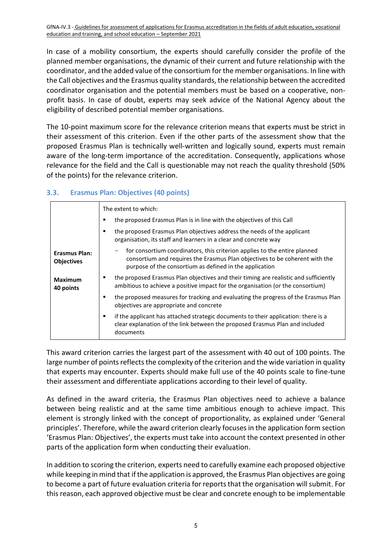In case of a mobility consortium, the experts should carefully consider the profile of the planned member organisations, the dynamic of their current and future relationship with the coordinator, and the added value of the consortium for the member organisations. In line with the Call objectives and the Erasmus quality standards, the relationship between the accredited coordinator organisation and the potential members must be based on a cooperative, nonprofit basis. In case of doubt, experts may seek advice of the National Agency about the eligibility of described potential member organisations.

The 10-point maximum score for the relevance criterion means that experts must be strict in their assessment of this criterion. Even if the other parts of the assessment show that the proposed Erasmus Plan is technically well-written and logically sound, experts must remain aware of the long-term importance of the accreditation. Consequently, applications whose relevance for the field and the Call is questionable may not reach the quality threshold (50% of the points) for the relevance criterion.

#### **3.3. Erasmus Plan: Objectives (40 points)**

|                                    | The extent to which:                                                                                                                                                                                                |
|------------------------------------|---------------------------------------------------------------------------------------------------------------------------------------------------------------------------------------------------------------------|
|                                    | the proposed Erasmus Plan is in line with the objectives of this Call                                                                                                                                               |
|                                    | the proposed Erasmus Plan objectives address the needs of the applicant<br>organisation, its staff and learners in a clear and concrete way                                                                         |
| Erasmus Plan:<br><b>Objectives</b> | for consortium coordinators, this criterion applies to the entire planned<br>consortium and requires the Erasmus Plan objectives to be coherent with the<br>purpose of the consortium as defined in the application |
| <b>Maximum</b><br>40 points        | the proposed Erasmus Plan objectives and their timing are realistic and sufficiently<br>ambitious to achieve a positive impact for the organisation (or the consortium)                                             |
|                                    | the proposed measures for tracking and evaluating the progress of the Erasmus Plan<br>٠<br>objectives are appropriate and concrete                                                                                  |
|                                    | if the applicant has attached strategic documents to their application: there is a<br>٠<br>clear explanation of the link between the proposed Erasmus Plan and included<br>documents                                |

This award criterion carries the largest part of the assessment with 40 out of 100 points. The large number of points reflects the complexity of the criterion and the wide variation in quality that experts may encounter. Experts should make full use of the 40 points scale to fine-tune their assessment and differentiate applications according to their level of quality.

As defined in the award criteria, the Erasmus Plan objectives need to achieve a balance between being realistic and at the same time ambitious enough to achieve impact. This element is strongly linked with the concept of proportionality, as explained under 'General principles'. Therefore, while the award criterion clearly focuses in the application form section 'Erasmus Plan: Objectives', the experts must take into account the context presented in other parts of the application form when conducting their evaluation.

In addition to scoring the criterion, experts need to carefully examine each proposed objective while keeping in mind that if the application is approved, the Erasmus Plan objectives are going to become a part of future evaluation criteria for reports that the organisation will submit. For this reason, each approved objective must be clear and concrete enough to be implementable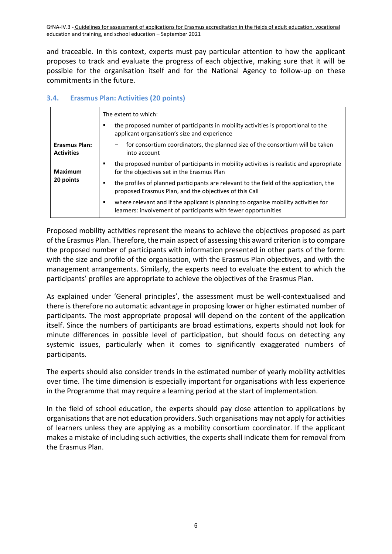and traceable. In this context, experts must pay particular attention to how the applicant proposes to track and evaluate the progress of each objective, making sure that it will be possible for the organisation itself and for the National Agency to follow-up on these commitments in the future.

#### **3.4. Erasmus Plan: Activities (20 points)**

|                                           | The extent to which:                                                                                                                                       |
|-------------------------------------------|------------------------------------------------------------------------------------------------------------------------------------------------------------|
|                                           | the proposed number of participants in mobility activities is proportional to the<br>п<br>applicant organisation's size and experience                     |
| <b>Erasmus Plan:</b><br><b>Activities</b> | for consortium coordinators, the planned size of the consortium will be taken<br>into account                                                              |
| <b>Maximum</b><br>20 points               | the proposed number of participants in mobility activities is realistic and appropriate<br>for the objectives set in the Erasmus Plan                      |
|                                           | the profiles of planned participants are relevant to the field of the application, the<br>п<br>proposed Erasmus Plan, and the objectives of this Call      |
|                                           | where relevant and if the applicant is planning to organise mobility activities for<br>٠<br>learners: involvement of participants with fewer opportunities |

Proposed mobility activities represent the means to achieve the objectives proposed as part of the Erasmus Plan. Therefore, the main aspect of assessing this award criterion is to compare the proposed number of participants with information presented in other parts of the form: with the size and profile of the organisation, with the Erasmus Plan objectives, and with the management arrangements. Similarly, the experts need to evaluate the extent to which the participants' profiles are appropriate to achieve the objectives of the Erasmus Plan.

As explained under 'General principles', the assessment must be well-contextualised and there is therefore no automatic advantage in proposing lower or higher estimated number of participants. The most appropriate proposal will depend on the content of the application itself. Since the numbers of participants are broad estimations, experts should not look for minute differences in possible level of participation, but should focus on detecting any systemic issues, particularly when it comes to significantly exaggerated numbers of participants.

The experts should also consider trends in the estimated number of yearly mobility activities over time. The time dimension is especially important for organisations with less experience in the Programme that may require a learning period at the start of implementation.

In the field of school education, the experts should pay close attention to applications by organisations that are not education providers. Such organisations may not apply for activities of learners unless they are applying as a mobility consortium coordinator. If the applicant makes a mistake of including such activities, the experts shall indicate them for removal from the Erasmus Plan.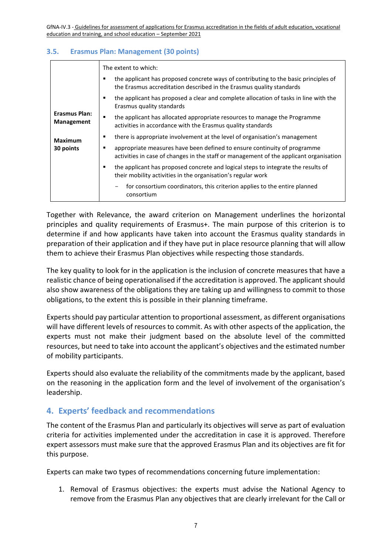#### **3.5. Erasmus Plan: Management (30 points)**

|                                    | The extent to which:                                                                                                                                                    |
|------------------------------------|-------------------------------------------------------------------------------------------------------------------------------------------------------------------------|
|                                    | the applicant has proposed concrete ways of contributing to the basic principles of<br>٠<br>the Erasmus accreditation described in the Erasmus quality standards        |
|                                    | the applicant has proposed a clear and complete allocation of tasks in line with the<br>٠<br>Erasmus quality standards                                                  |
| <b>Erasmus Plan:</b><br>Management | the applicant has allocated appropriate resources to manage the Programme<br>٠<br>activities in accordance with the Erasmus quality standards                           |
| <b>Maximum</b><br>30 points        | there is appropriate involvement at the level of organisation's management<br>٠                                                                                         |
|                                    | appropriate measures have been defined to ensure continuity of programme<br>٠<br>activities in case of changes in the staff or management of the applicant organisation |
|                                    | the applicant has proposed concrete and logical steps to integrate the results of<br>٠<br>their mobility activities in the organisation's regular work                  |
|                                    | for consortium coordinators, this criterion applies to the entire planned<br>consortium                                                                                 |

Together with Relevance, the award criterion on Management underlines the horizontal principles and quality requirements of Erasmus+. The main purpose of this criterion is to determine if and how applicants have taken into account the Erasmus quality standards in preparation of their application and if they have put in place resource planning that will allow them to achieve their Erasmus Plan objectives while respecting those standards.

The key quality to look for in the application is the inclusion of concrete measures that have a realistic chance of being operationalised if the accreditation is approved. The applicant should also show awareness of the obligations they are taking up and willingness to commit to those obligations, to the extent this is possible in their planning timeframe.

Experts should pay particular attention to proportional assessment, as different organisations will have different levels of resources to commit. As with other aspects of the application, the experts must not make their judgment based on the absolute level of the committed resources, but need to take into account the applicant's objectives and the estimated number of mobility participants.

Experts should also evaluate the reliability of the commitments made by the applicant, based on the reasoning in the application form and the level of involvement of the organisation's leadership.

## **4. Experts' feedback and recommendations**

The content of the Erasmus Plan and particularly its objectives will serve as part of evaluation criteria for activities implemented under the accreditation in case it is approved. Therefore expert assessors must make sure that the approved Erasmus Plan and its objectives are fit for this purpose.

Experts can make two types of recommendations concerning future implementation:

1. Removal of Erasmus objectives: the experts must advise the National Agency to remove from the Erasmus Plan any objectives that are clearly irrelevant for the Call or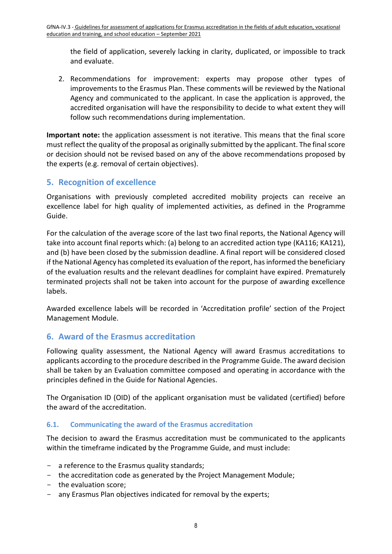the field of application, severely lacking in clarity, duplicated, or impossible to track and evaluate.

2. Recommendations for improvement: experts may propose other types of improvements to the Erasmus Plan. These comments will be reviewed by the National Agency and communicated to the applicant. In case the application is approved, the accredited organisation will have the responsibility to decide to what extent they will follow such recommendations during implementation.

**Important note:** the application assessment is not iterative. This means that the final score must reflect the quality of the proposal as originally submitted by the applicant. The final score or decision should not be revised based on any of the above recommendations proposed by the experts (e.g. removal of certain objectives).

# **5. Recognition of excellence**

Organisations with previously completed accredited mobility projects can receive an excellence label for high quality of implemented activities, as defined in the Programme Guide.

For the calculation of the average score of the last two final reports, the National Agency will take into account final reports which: (a) belong to an accredited action type (KA116; KA121), and (b) have been closed by the submission deadline. A final report will be considered closed if the National Agency has completed its evaluation of the report, has informed the beneficiary of the evaluation results and the relevant deadlines for complaint have expired. Prematurely terminated projects shall not be taken into account for the purpose of awarding excellence labels.

Awarded excellence labels will be recorded in 'Accreditation profile' section of the Project Management Module.

## **6. Award of the Erasmus accreditation**

Following quality assessment, the National Agency will award Erasmus accreditations to applicants according to the procedure described in the Programme Guide. The award decision shall be taken by an Evaluation committee composed and operating in accordance with the principles defined in the Guide for National Agencies.

The Organisation ID (OID) of the applicant organisation must be validated (certified) before the award of the accreditation.

## **6.1. Communicating the award of the Erasmus accreditation**

The decision to award the Erasmus accreditation must be communicated to the applicants within the timeframe indicated by the Programme Guide, and must include:

- a reference to the Erasmus quality standards;
- the accreditation code as generated by the Project Management Module;
- the evaluation score;
- any Erasmus Plan objectives indicated for removal by the experts;